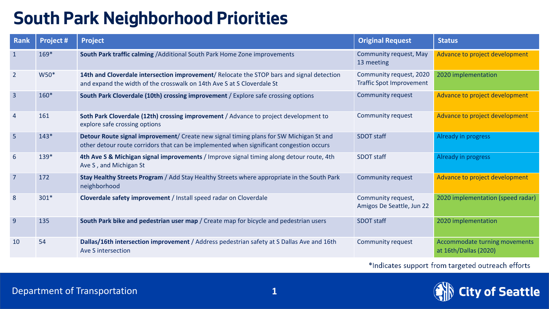## **South Park Neighborhood Priorities**

| Rank            | Project # | <b>Project</b>                                                                                                                                                                    | <b>Original Request</b>                                    | <b>Status</b>                                          |  |
|-----------------|-----------|-----------------------------------------------------------------------------------------------------------------------------------------------------------------------------------|------------------------------------------------------------|--------------------------------------------------------|--|
| $\mathbf{1}$    | $169*$    | South Park traffic calming / Additional South Park Home Zone improvements                                                                                                         | Community request, May<br>13 meeting                       | Advance to project development                         |  |
| $\overline{2}$  | W50*      | 14th and Cloverdale intersection improvement/ Relocate the STOP bars and signal detection<br>and expand the width of the crosswalk on 14th Ave S at S Cloverdale St               | Community request, 2020<br><b>Traffic Spot Improvement</b> | 2020 implementation                                    |  |
| $\overline{3}$  | $160*$    | <b>Community request</b><br>South Park Cloverdale (10th) crossing improvement / Explore safe crossing options                                                                     |                                                            | Advance to project development                         |  |
| 4               | 161       | Soth Park Cloverdale (12th) crossing improvement / Advance to project development to<br>explore safe crossing options                                                             | Community request                                          | Advance to project development                         |  |
| $5\overline{5}$ | $143*$    | Detour Route signal improvement/ Create new signal timing plans for SW Michigan St and<br>other detour route corridors that can be implemented when significant congestion occurs | <b>SDOT staff</b>                                          | Already in progress                                    |  |
| 6               | $139*$    | 4th Ave S & Michigan signal improvements / Improve signal timing along detour route, 4th<br>Ave S, and Michigan St                                                                | <b>SDOT staff</b>                                          | Already in progress                                    |  |
| $\overline{7}$  | 172       | Stay Healthy Streets Program / Add Stay Healthy Streets where appropriate in the South Park<br>neighborhood                                                                       | <b>Community request</b>                                   | Advance to project development                         |  |
| 8               | $301*$    | Cloverdale safety improvement / Install speed radar on Cloverdale                                                                                                                 | Community request,<br>Amigos De Seattle, Jun 22            | 2020 implementation (speed radar)                      |  |
| 9               | 135       | South Park bike and pedestrian user map / Create map for bicycle and pedestrian users                                                                                             | <b>SDOT staff</b>                                          | 2020 implementation                                    |  |
| 10              | 54        | Dallas/16th intersection improvement / Address pedestrian safety at S Dallas Ave and 16th<br>Ave S intersection                                                                   | <b>Community request</b>                                   | Accommodate turning movements<br>at 16th/Dallas (2020) |  |

\*Indicates support from targeted outreach efforts